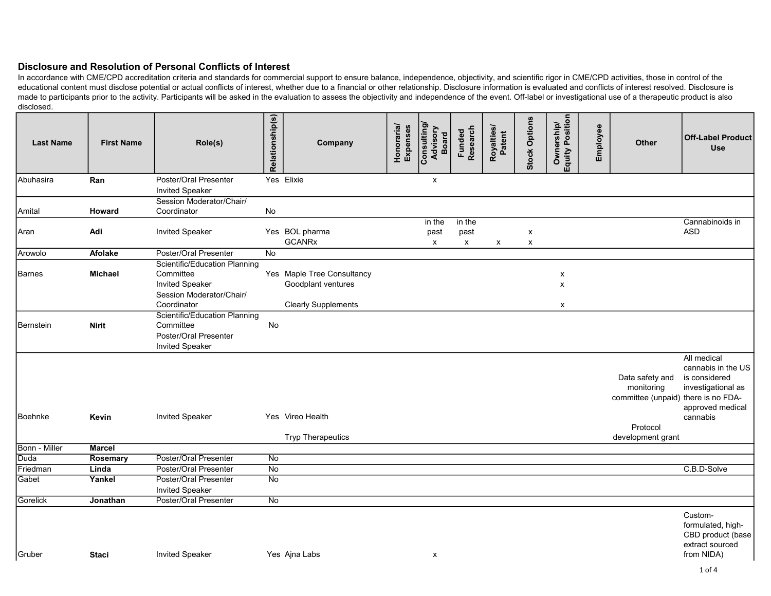| <b>Last Name</b> | <b>First Name</b> | Role(s)                                                                                                                | Relationship(s) | Company                                                                        | Honoraria/<br>Expenses | Consulting/<br>Advisory<br><b>Board</b> | Funded<br>Research                          | Royalties/<br>Patent | <b>Stock Options</b> | Ownership/<br>Equity Position         | Employee | Other                                                                            | <b>Off-Label Product</b><br><b>Use</b>                                                                   |
|------------------|-------------------|------------------------------------------------------------------------------------------------------------------------|-----------------|--------------------------------------------------------------------------------|------------------------|-----------------------------------------|---------------------------------------------|----------------------|----------------------|---------------------------------------|----------|----------------------------------------------------------------------------------|----------------------------------------------------------------------------------------------------------|
| Abuhasira        | Ran               | Poster/Oral Presenter                                                                                                  |                 | Yes Elixie                                                                     |                        | X                                       |                                             |                      |                      |                                       |          |                                                                                  |                                                                                                          |
|                  |                   | <b>Invited Speaker</b>                                                                                                 |                 |                                                                                |                        |                                         |                                             |                      |                      |                                       |          |                                                                                  |                                                                                                          |
|                  |                   | Session Moderator/Chair/                                                                                               |                 |                                                                                |                        |                                         |                                             |                      |                      |                                       |          |                                                                                  |                                                                                                          |
| Amital           | Howard            | Coordinator                                                                                                            | No              |                                                                                |                        |                                         |                                             |                      |                      |                                       |          |                                                                                  |                                                                                                          |
| Aran             | Adi               | <b>Invited Speaker</b>                                                                                                 |                 | Yes BOL pharma<br><b>GCANRx</b>                                                |                        | in the<br>past<br>$\mathsf{x}$          | in the<br>past<br>$\boldsymbol{\mathsf{x}}$ | X                    | X<br>X               |                                       |          |                                                                                  | Cannabinoids in<br><b>ASD</b>                                                                            |
| Arowolo          | Afolake           | Poster/Oral Presenter                                                                                                  | <b>No</b>       |                                                                                |                        |                                         |                                             |                      |                      |                                       |          |                                                                                  |                                                                                                          |
| Barnes           | Michael           | <b>Scientific/Education Planning</b><br>Committee<br><b>Invited Speaker</b><br>Session Moderator/Chair/<br>Coordinator |                 | Yes Maple Tree Consultancy<br>Goodplant ventures<br><b>Clearly Supplements</b> |                        |                                         |                                             |                      |                      | X<br>$\pmb{\times}$<br>$\pmb{\times}$ |          |                                                                                  |                                                                                                          |
| Bernstein        | <b>Nirit</b>      | Scientific/Education Planning<br>Committee<br>Poster/Oral Presenter<br><b>Invited Speaker</b>                          | No              |                                                                                |                        |                                         |                                             |                      |                      |                                       |          |                                                                                  |                                                                                                          |
| Boehnke          | Kevin             | <b>Invited Speaker</b>                                                                                                 |                 | Yes Vireo Health                                                               |                        |                                         |                                             |                      |                      |                                       |          | Data safety and<br>monitoring<br>committee (unpaid) there is no FDA-<br>Protocol | All medical<br>cannabis in the US<br>is considered<br>investigational as<br>approved medical<br>cannabis |
|                  |                   |                                                                                                                        |                 | <b>Tryp Therapeutics</b>                                                       |                        |                                         |                                             |                      |                      |                                       |          | development grant                                                                |                                                                                                          |
| Bonn - Miller    | <b>Marcel</b>     |                                                                                                                        |                 |                                                                                |                        |                                         |                                             |                      |                      |                                       |          |                                                                                  |                                                                                                          |
| Duda             | Rosemary          | <b>Poster/Oral Presenter</b>                                                                                           | No              |                                                                                |                        |                                         |                                             |                      |                      |                                       |          |                                                                                  |                                                                                                          |
| Friedman         | Linda             | <b>Poster/Oral Presenter</b>                                                                                           | $\overline{N}$  |                                                                                |                        |                                         |                                             |                      |                      |                                       |          |                                                                                  | C.B.D-Solve                                                                                              |
| Gabet            | Yankel            | Poster/Oral Presenter<br><b>Invited Speaker</b>                                                                        | $\overline{N}$  |                                                                                |                        |                                         |                                             |                      |                      |                                       |          |                                                                                  |                                                                                                          |
| <b>Gorelick</b>  | Jonathan          | Poster/Oral Presenter                                                                                                  | No              |                                                                                |                        |                                         |                                             |                      |                      |                                       |          |                                                                                  |                                                                                                          |
|                  |                   |                                                                                                                        |                 |                                                                                |                        |                                         |                                             |                      |                      |                                       |          |                                                                                  | Custom-<br>formulated, high-<br>CBD product (base<br>extract sourced                                     |
| Gruber           | <b>Staci</b>      | <b>Invited Speaker</b>                                                                                                 |                 | Yes Ajna Labs                                                                  |                        | х                                       |                                             |                      |                      |                                       |          |                                                                                  | from NIDA)                                                                                               |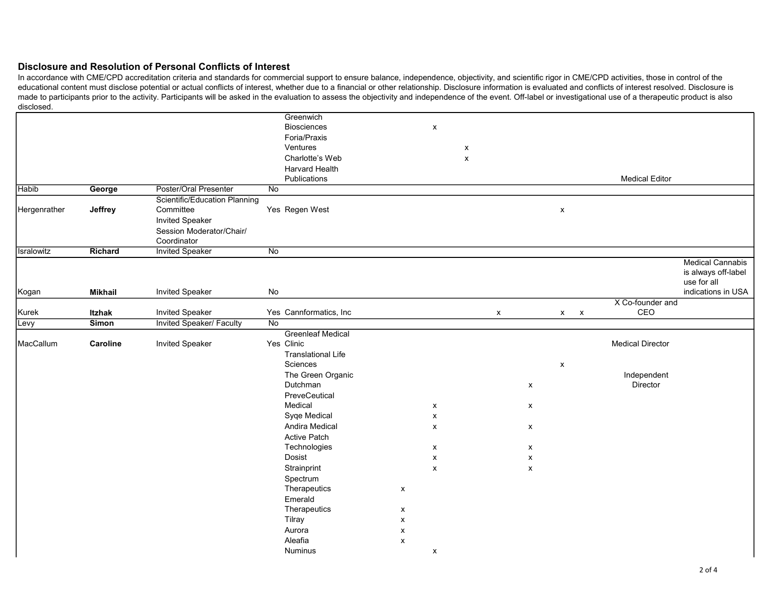|              |                |                                 | Greenwich                 |                           |                           |                    |                           |                    |                    |              |                         |                         |
|--------------|----------------|---------------------------------|---------------------------|---------------------------|---------------------------|--------------------|---------------------------|--------------------|--------------------|--------------|-------------------------|-------------------------|
|              |                |                                 | <b>Biosciences</b>        |                           | $\pmb{\mathsf{x}}$        |                    |                           |                    |                    |              |                         |                         |
|              |                |                                 | Foria/Praxis              |                           |                           |                    |                           |                    |                    |              |                         |                         |
|              |                |                                 | Ventures                  |                           |                           | X                  |                           |                    |                    |              |                         |                         |
|              |                |                                 | Charlotte's Web           |                           |                           | $\pmb{\mathsf{x}}$ |                           |                    |                    |              |                         |                         |
|              |                |                                 | <b>Harvard Health</b>     |                           |                           |                    |                           |                    |                    |              |                         |                         |
|              |                |                                 | Publications              |                           |                           |                    |                           |                    |                    |              | <b>Medical Editor</b>   |                         |
| <b>Habib</b> | George         | Poster/Oral Presenter           | No                        |                           |                           |                    |                           |                    |                    |              |                         |                         |
|              |                | Scientific/Education Planning   |                           |                           |                           |                    |                           |                    |                    |              |                         |                         |
| Hergenrather | Jeffrey        | Committee                       | Yes Regen West            |                           |                           |                    |                           |                    | $\pmb{\mathsf{x}}$ |              |                         |                         |
|              |                | <b>Invited Speaker</b>          |                           |                           |                           |                    |                           |                    |                    |              |                         |                         |
|              |                | Session Moderator/Chair/        |                           |                           |                           |                    |                           |                    |                    |              |                         |                         |
|              |                | Coordinator                     |                           |                           |                           |                    |                           |                    |                    |              |                         |                         |
| Isralowitz   | Richard        | <b>Invited Speaker</b>          | $\overline{No}$           |                           |                           |                    |                           |                    |                    |              |                         |                         |
|              |                |                                 |                           |                           |                           |                    |                           |                    |                    |              |                         | <b>Medical Cannabis</b> |
|              |                |                                 |                           |                           |                           |                    |                           |                    |                    |              |                         | is always off-label     |
|              |                |                                 |                           |                           |                           |                    |                           |                    |                    |              |                         | use for all             |
| Kogan        | <b>Mikhail</b> | <b>Invited Speaker</b>          | No                        |                           |                           |                    |                           |                    |                    |              |                         | indications in USA      |
|              |                |                                 |                           |                           |                           |                    |                           |                    |                    |              | X Co-founder and        |                         |
| Kurek        | <b>Itzhak</b>  | Invited Speaker                 | Yes Cannformatics, Inc    |                           |                           |                    | $\boldsymbol{\mathsf{x}}$ |                    |                    | $x \times x$ | CEO                     |                         |
| Levy         | <b>Simon</b>   | <b>Invited Speaker/ Faculty</b> | $\overline{N_{0}}$        |                           |                           |                    |                           |                    |                    |              |                         |                         |
|              |                |                                 | <b>Greenleaf Medical</b>  |                           |                           |                    |                           |                    |                    |              |                         |                         |
| MacCallum    | Caroline       | <b>Invited Speaker</b>          | Yes Clinic                |                           |                           |                    |                           |                    |                    |              | <b>Medical Director</b> |                         |
|              |                |                                 | <b>Translational Life</b> |                           |                           |                    |                           |                    |                    |              |                         |                         |
|              |                |                                 | Sciences                  |                           |                           |                    |                           |                    | X                  |              |                         |                         |
|              |                |                                 | The Green Organic         |                           |                           |                    |                           |                    |                    |              | Independent             |                         |
|              |                |                                 | Dutchman                  |                           |                           |                    |                           | $\pmb{\mathsf{X}}$ |                    |              | Director                |                         |
|              |                |                                 | PreveCeutical             |                           |                           |                    |                           |                    |                    |              |                         |                         |
|              |                |                                 | Medical                   |                           | $\boldsymbol{\mathsf{x}}$ |                    |                           | $\pmb{\mathsf{X}}$ |                    |              |                         |                         |
|              |                |                                 | Syqe Medical              |                           | $\pmb{\mathsf{X}}$        |                    |                           |                    |                    |              |                         |                         |
|              |                |                                 | Andira Medical            |                           | $\pmb{\chi}$              |                    |                           | $\pmb{\mathsf{X}}$ |                    |              |                         |                         |
|              |                |                                 | <b>Active Patch</b>       |                           |                           |                    |                           |                    |                    |              |                         |                         |
|              |                |                                 | Technologies              |                           | $\pmb{\mathsf{x}}$        |                    |                           | $\pmb{\mathsf{x}}$ |                    |              |                         |                         |
|              |                |                                 | Dosist                    |                           | $\boldsymbol{\mathsf{x}}$ |                    |                           | $\pmb{\mathsf{x}}$ |                    |              |                         |                         |
|              |                |                                 | Strainprint               |                           | $\pmb{\chi}$              |                    |                           | $\pmb{\mathsf{X}}$ |                    |              |                         |                         |
|              |                |                                 | Spectrum                  |                           |                           |                    |                           |                    |                    |              |                         |                         |
|              |                |                                 | Therapeutics              | $\boldsymbol{\mathsf{x}}$ |                           |                    |                           |                    |                    |              |                         |                         |
|              |                |                                 | Emerald                   |                           |                           |                    |                           |                    |                    |              |                         |                         |
|              |                |                                 | Therapeutics              | X                         |                           |                    |                           |                    |                    |              |                         |                         |
|              |                |                                 | Tilray                    | $\pmb{\mathsf{x}}$        |                           |                    |                           |                    |                    |              |                         |                         |
|              |                |                                 | Aurora                    | X                         |                           |                    |                           |                    |                    |              |                         |                         |
|              |                |                                 | Aleafia                   | $\pmb{\chi}$              |                           |                    |                           |                    |                    |              |                         |                         |
|              |                |                                 | <b>Numinus</b>            |                           | $\boldsymbol{\mathsf{x}}$ |                    |                           |                    |                    |              |                         |                         |
|              |                |                                 |                           |                           |                           |                    |                           |                    |                    |              |                         |                         |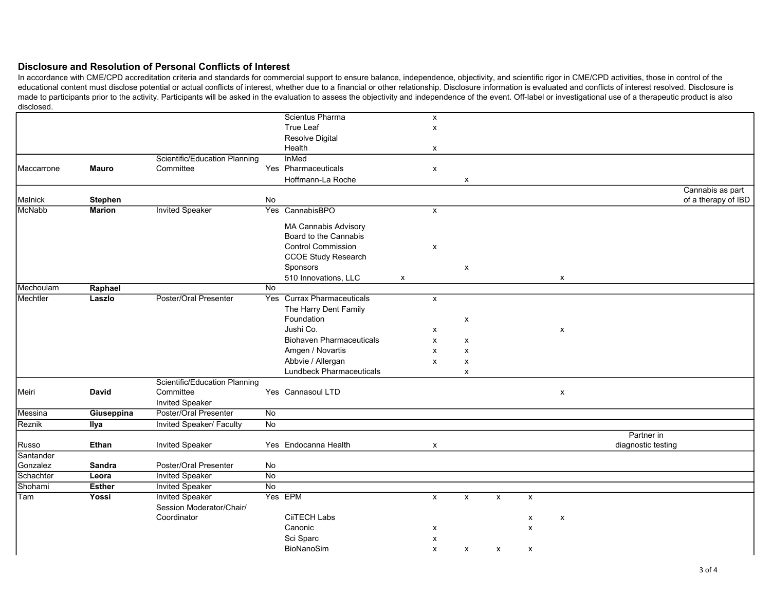|                    |                |                               |                    | Scientus Pharma                 |              |                    |                    |                    |                           |                    |                    |                     |
|--------------------|----------------|-------------------------------|--------------------|---------------------------------|--------------|--------------------|--------------------|--------------------|---------------------------|--------------------|--------------------|---------------------|
|                    |                |                               |                    |                                 |              | $\pmb{\mathsf{x}}$ |                    |                    |                           |                    |                    |                     |
|                    |                |                               |                    | <b>True Leaf</b>                |              | $\pmb{\mathsf{X}}$ |                    |                    |                           |                    |                    |                     |
|                    |                |                               |                    | Resolve Digital                 |              |                    |                    |                    |                           |                    |                    |                     |
|                    |                |                               |                    | Health                          |              | X                  |                    |                    |                           |                    |                    |                     |
|                    |                | Scientific/Education Planning |                    | <b>InMed</b>                    |              |                    |                    |                    |                           |                    |                    |                     |
| Maccarrone         | <b>Mauro</b>   | Committee                     |                    | Yes Pharmaceuticals             |              | $\pmb{\mathsf{x}}$ |                    |                    |                           |                    |                    |                     |
|                    |                |                               |                    | Hoffmann-La Roche               |              |                    | X                  |                    |                           |                    |                    |                     |
|                    |                |                               |                    |                                 |              |                    |                    |                    |                           |                    |                    | Cannabis as part    |
| Malnick            | <b>Stephen</b> |                               | No                 |                                 |              |                    |                    |                    |                           |                    |                    | of a therapy of IBD |
| McNabb             | <b>Marion</b>  | <b>Invited Speaker</b>        |                    | Yes CannabisBPO                 |              | $\pmb{\times}$     |                    |                    |                           |                    |                    |                     |
|                    |                |                               |                    |                                 |              |                    |                    |                    |                           |                    |                    |                     |
|                    |                |                               |                    | <b>MA Cannabis Advisory</b>     |              |                    |                    |                    |                           |                    |                    |                     |
|                    |                |                               |                    | Board to the Cannabis           |              |                    |                    |                    |                           |                    |                    |                     |
|                    |                |                               |                    | <b>Control Commission</b>       |              | $\pmb{\times}$     |                    |                    |                           |                    |                    |                     |
|                    |                |                               |                    | <b>CCOE Study Research</b>      |              |                    |                    |                    |                           |                    |                    |                     |
|                    |                |                               |                    | Sponsors                        |              |                    | X                  |                    |                           |                    |                    |                     |
|                    |                |                               |                    | 510 Innovations, LLC            | $\mathsf{x}$ |                    |                    |                    |                           | X                  |                    |                     |
| <b>I</b> Mechoulam | Raphael        |                               | $\overline{N}$     |                                 |              |                    |                    |                    |                           |                    |                    |                     |
| Mechtler           | Laszlo         | Poster/Oral Presenter         |                    | Yes Currax Pharmaceuticals      |              | X                  |                    |                    |                           |                    |                    |                     |
|                    |                |                               |                    | The Harry Dent Family           |              |                    |                    |                    |                           |                    |                    |                     |
|                    |                |                               |                    | Foundation                      |              |                    | X                  |                    |                           |                    |                    |                     |
|                    |                |                               |                    | Jushi Co.                       |              | X                  |                    |                    |                           | $\pmb{\mathsf{x}}$ |                    |                     |
|                    |                |                               |                    | <b>Biohaven Pharmaceuticals</b> |              | X                  | x                  |                    |                           |                    |                    |                     |
|                    |                |                               |                    | Amgen / Novartis                |              | $\pmb{\times}$     | $\pmb{\times}$     |                    |                           |                    |                    |                     |
|                    |                |                               |                    | Abbvie / Allergan               |              | $\pmb{\mathsf{x}}$ | X                  |                    |                           |                    |                    |                     |
|                    |                |                               |                    | <b>Lundbeck Pharmaceuticals</b> |              |                    | $\pmb{\mathsf{x}}$ |                    |                           |                    |                    |                     |
|                    |                | Scientific/Education Planning |                    |                                 |              |                    |                    |                    |                           |                    |                    |                     |
| Meiri              | <b>David</b>   | Committee                     |                    | Yes Cannasoul LTD               |              |                    |                    |                    |                           | $\pmb{\mathsf{X}}$ |                    |                     |
|                    |                | <b>Invited Speaker</b>        |                    |                                 |              |                    |                    |                    |                           |                    |                    |                     |
| Messina            | Giuseppina     | Poster/Oral Presenter         | $\overline{N_{0}}$ |                                 |              |                    |                    |                    |                           |                    |                    |                     |
| Reznik             | Ilya           | Invited Speaker/ Faculty      | $\overline{N}$     |                                 |              |                    |                    |                    |                           |                    |                    |                     |
|                    |                |                               |                    |                                 |              |                    |                    |                    |                           |                    | Partner in         |                     |
| Russo              | Ethan          | <b>Invited Speaker</b>        |                    | Yes Endocanna Health            |              | X                  |                    |                    |                           |                    | diagnostic testing |                     |
| Santander          |                |                               |                    |                                 |              |                    |                    |                    |                           |                    |                    |                     |
| Gonzalez           | Sandra         | Poster/Oral Presenter         | No                 |                                 |              |                    |                    |                    |                           |                    |                    |                     |
| Schachter          | Leora          | <b>Invited Speaker</b>        | $\overline{N}$     |                                 |              |                    |                    |                    |                           |                    |                    |                     |
| Shohami            | <b>Esther</b>  | <b>Invited Speaker</b>        | No                 |                                 |              |                    |                    |                    |                           |                    |                    |                     |
| Tam                | Yossi          | <b>Invited Speaker</b>        |                    | Yes EPM                         |              | X                  | $\mathsf{x}$       | $\pmb{\chi}$       | $\boldsymbol{\mathsf{x}}$ |                    |                    |                     |
|                    |                | Session Moderator/Chair/      |                    |                                 |              |                    |                    |                    |                           |                    |                    |                     |
|                    |                | Coordinator                   |                    | <b>CiiTECH Labs</b>             |              |                    |                    |                    | X                         | $\pmb{\mathsf{x}}$ |                    |                     |
|                    |                |                               |                    | Canonic                         |              | X                  |                    |                    | x                         |                    |                    |                     |
|                    |                |                               |                    | Sci Sparc                       |              | X                  |                    |                    |                           |                    |                    |                     |
|                    |                |                               |                    | BioNanoSim                      |              | $\pmb{\times}$     |                    |                    | X                         |                    |                    |                     |
|                    |                |                               |                    |                                 |              |                    | X                  | $\pmb{\mathsf{x}}$ |                           |                    |                    |                     |